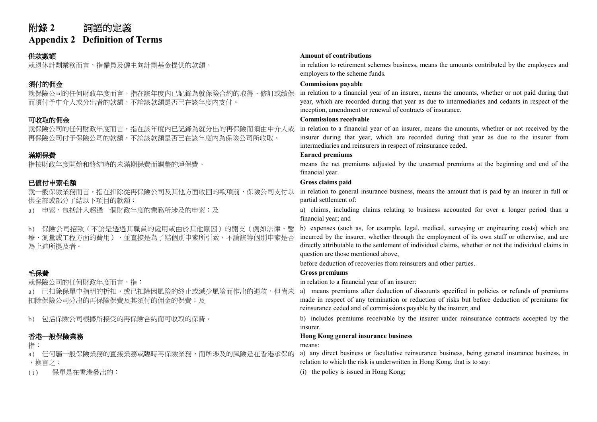# 附錄 **2** 詞語的定義

**Appendix 2 Definition of Terms**

就保險公司的任何財政年度而言,指在該年度內已記錄為就保險合約的取得、修訂或續保 而須付予中介人或分出者的款額,不論該款額是否已在該年度內支付。

就保險公司的任何財政年度而言,指在該年度內已記錄為就分出的再保險而須由中介人或 再保險公司付予保險公司的款額,不論該款額是否已在該年度內為保險公司所收取。

就一般保險業務而言,指在扣除從再保險公司及其他方面收回的款項前,保險公司支付以 供全部或部分了結以下項目的款額:

b) 保險公司招致(不論是透過其職員的僱用或由於其他原因)的開支(例如法律、醫 療、測量或工程方面的費用),並直接是為了結個別申索所引致,不論該等個別申索是否 為上述所提及者。

就保險公司的任何財政年度而言,指: in relation to a financial year of an insurer:

a) 已扣除保單中指明的折扣,或已扣除因風險的終止或減少風險而作出的退款,但尚未 扣除保險公司分出的再保險保費及其須付的佣金的保費;及

a) 任何屬一般保險業務的直接業務或臨時再保險業務,而所涉及的風險是在香港承保的 ,換言之:

## 供款數額 **Amount of contributions**

就退休計劃業務而言,指僱員及僱主向計劃基金提供的款額。 in relation to retirement schemes business, means the amounts contributed by the employees and employers to the scheme funds.

## **須付的佣金 しょうきょう しょうしょう しょうしょう しょうしょう しょうしょう しょうしょう こうしょう の Commissions payable**

in relation to a financial year of an insurer, means the amounts, whether or not paid during that year, which are recorded during that year as due to intermediaries and cedants in respect of the inception, amendment or renewal of contracts of insurance.

## 可收取的佣金 **Commissions receivable**

in relation to a financial year of an insurer, means the amounts, whether or not received by the insurer during that year, which are recorded during that year as due to the insurer from intermediaries and reinsurers in respect of reinsurance ceded.

## 滿期保費 **Earned premiums**

指按財政年度開始和終結時的未滿期保費而調整的淨保費。 means the net premiums adjusted by the unearned premiums at the beginning and end of the financial year.

## 已償付申索毛額 **Gross claims paid**

in relation to general insurance business, means the amount that is paid by an insurer in full or partial settlement of:

a) 申索,包括計入超過一個財政年度的業務所涉及的申索;及 and the model of claims, including claims relating to business accounted for over a longer period than a financial year; and

> b) expenses (such as, for example, legal, medical, surveying or engineering costs) which are incurred by the insurer, whether through the employment of its own staff or otherwise, and are directly attributable to the settlement of individual claims, whether or not the individual claims in question are those mentioned above,

before deduction of recoveries from reinsurers and other parties.

## 毛保費 **Gross premiums**

a) means premiums after deduction of discounts specified in policies or refunds of premiums made in respect of any termination or reduction of risks but before deduction of premiums for reinsurance ceded and of commissions payable by the insurer; and

b) 包括保險公司根據所接受的再保險合約而可收取的保費。 <br> **b**) includes premiums receivable by the insurer under reinsurance contracts accepted by the insurer.

## 香港一般保險業務 **Hong Kong general insurance business**

指: means:

- a) any direct business or facultative reinsurance business, being general insurance business, in relation to which the risk is underwritten in Hong Kong, that is to say:
- (i) 保單是在香港發出的; (i) the policy is issued in Hong Kong;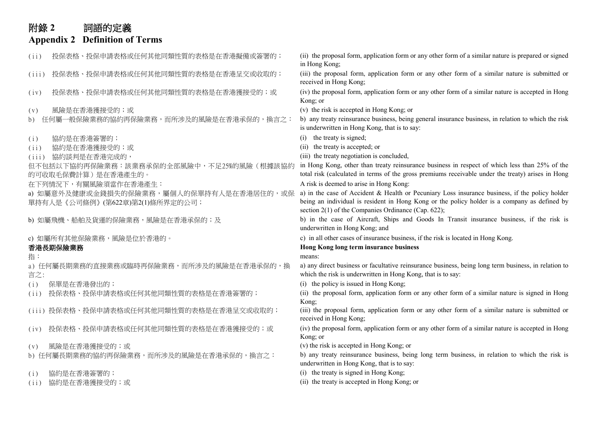# 附錄 **2** 詞語的定義

## **Appendix 2 Definition of Terms**

(ii) 投保表格、投保申請表格或任何其他同類性質的表格是在香港擬備或簽署的; (ii) the proposal form, application form or any other form of a similar nature is prepared or signed in Hong Kong; (iii) 投保表格、投保申請表格或任何其他同類性質的表格是在香港呈交或收取的; (iii) the proposal form, application form or any other form of a similar nature is submitted or received in Hong Kong; (iv) 投保表格、投保申請表格或任何其他同類性質的表格是在香港獲接受的;或 (iv) the proposal form, application form or any other form of a similar nature is accepted in Hong Kong; or (v) 風險是在香港獲接受的;或 (v) the risk is accepted in Hong Kong; or b) 任何屬一般保險業務的協約再保險業務,而所涉及的風險是在香港承保的,換言之: b) any treaty reinsurance business, being general insurance business, in relation to which the risk is underwritten in Hong Kong, that is to say: (i) 協約是在香港簽署的; (i) the treaty is signed; (ii) 協約是在香港獲接受的;或 (iii) 協約談判是在香港完成的, (iii) the treaty negotiation is concluded, 但不包括以下協約再保險業務:該業務承保的全部風險中,不足25%的風險(根據該協約 的可收取毛保費計算)是在香港產生的。 in Hong Kong, other than treaty reinsurance business in respect of which less than 25% of the total risk (calculated in terms of the gross premiums receivable under the treaty) arises in Hong 在下列情況下,有關風險須當作在香港產生: Kong: A risk is deemed to arise in Hong Kong: a) 如屬意外及健康或金錢損失的保險業務,屬個人的保單持有人是在香港居住的,或保 單持有人是《公司條例》(第622章)第2(1)條所界定的公司; a) in the case of Accident  $&$  Health or Pecuniary Loss insurance business, if the policy holder being an individual is resident in Hong Kong or the policy holder is a company as defined by section 2(1) of the Companies Ordinance (Cap. 622); b) 如屬飛機、船舶及貨運的保險業務,風險是在香港承保的;及 b) in the case of Aircraft, Ships and Goods In Transit insurance business, if the risk is underwritten in Hong Kong; and c) 如屬所有其他保險業務,風險是位於香港的。 c) in all other cases of insurance business, if the risk is located in Hong Kong. 香港長期保險業務 **Hong Kong long term insurance business** 指: means: a) 任何屬長期業務的直接業務或臨時再保險業務,而所涉及的風險是在香港承保的,換 言之: a) any direct business or facultative reinsurance business, being long term business, in relation to which the risk is underwritten in Hong Kong, that is to say: (i) 保單是在香港發出的; (i) the policy is issued in Hong Kong; 投保表格、投保申請表格或任何其他同類性質的表格是在香港簽署的; (ii) the proposal form, application form or any other form of a similar nature is signed in Hong Kong; (iii) 投保表格、投保申請表格或任何其他同類性質的表格是在香港呈交或收取的; (iii) the proposal form, application form or any other form of a similar nature is submitted or received in Hong Kong; (iv) 投保表格、投保申請表格或任何其他同類性質的表格是在香港獲接受的;或 (iv) the proposal form, application form or any other form of a similar nature is accepted in Hong Kong; or (v) 風險是在香港獲接受的;或 (v) the risk is accepted in Hong Kong; or b) 任何屬長期業務的協約再保險業務,而所涉及的風險是在香港承保的,換言之: b) any treaty reinsurance business, being long term business, in relation to which the risk is underwritten in Hong Kong, that is to say: (i) 協約是在香港簽署的; (i) the treaty is signed in Hong Kong; (ii) 協約是在香港獲接受的;或 (ii) the treaty is accepted in Hong Kong; or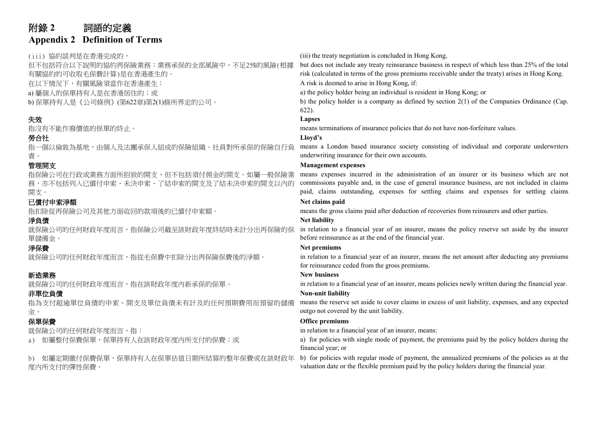## 附錄 **2** 詞語的定義 **Appendix 2 Definition of Terms**

但不包括符合以下說明的協約再保險業務︰業務承保的全部風險中,不足25%的風險(根據 有關協約的可收取毛保費計算)是在香港產生的。 在以下情況下,有關風險須當作在香港產生: A risk is deemed to arise in Hong Kong, if: a) 屬個人的保單持有人是在香港居住的;或 and the policy holder being an individual is resident in Hong Kong; or b) 保單持有人是《公司條例》(第622章)第2(1)條所界定的公司。 <br>
b) the policy holder is a company as defined by section 2(1) of the Companies Ordinance (Cap. 622). 失效 **Lapses** 指沒有不能作廢價值的保單的終止。 means terminations of insurance policies that do not have non-forfeiture values. 勞合社 **Lloyd's** 指一個以倫敦為基地,由個人及法團承保人組成的保險組織。社員對所承保的保險自行負 責。 管理開支 **Management expenses** 指保險公司在行政或業務方面所招致的開支,但不包括須付佣金的開支。如屬一般保險業

務,亦不包括列入已償付申索、未決申索、了結申索的開支及了結未決申索的開支以內的 開支。

## 已償付申索淨額 outstanding. **Net claims paid**

就保險公司的任何財政年度而言,指保險公司截至該財政年度終結時未計分出再保險的保 單儲備金。

指為支付超逾單位負債的申索、開支及單位負債未有計及的任何預期費用而預留的儲備 金。

b) 如屬定期繳付保費保單,保單持有人在保單估值日期所結算的整年保費或在該財政年 度內所支付的彈性保費。

(iii) 協約談判是在香港完成的, (iii) the treaty negotiation is concluded in Hong Kong,

but does not include any treaty reinsurance business in respect of which less than 25% of the total risk (calculated in terms of the gross premiums receivable under the treaty) arises in Hong Kong.

means a London based insurance society consisting of individual and corporate underwriters underwriting insurance for their own accounts.

means expenses incurred in the administration of an insurer or its business which are not commissions payable and, in the case of general insurance business, are not included in claims paid, claims outstanding, expenses for settling claims and expenses for settling claims

指扣除從再保險公司及其他方面收回的款項後的已償付申索額。 means the gross claims paid after deduction of recoveries from reinsurers and other parties.

## 淨負債 **Net liability**

in relation to a financial year of an insurer, means the policy reserve set aside by the insurer before reinsurance as at the end of the financial year.

## **净保費 Net premiums**

就保險公司的任何財政年度而言,指從毛保費中扣除分出再保險保費後的淨額。 in relation to a financial year of an insurer, means the net amount after deducting any premiums for reinsurance ceded from the gross premiums.

## 新造業務 **New business**

就保險公司的任何財政年度而言,指在該財政年度內新承保的保單。 in relation to a financial year of an insurer, means policies newly written during the financial year.

## 非單位負債 **Non-unit liability**

means the reserve set aside to cover claims in excess of unit liability, expenses, and any expected outgo not covered by the unit liability.

## **保單保費 Office premiums**

就保險公司的任何財政年度而言,指: in relation to a financial year of an insurer, means:

a) 如屬整付保費保單,保單持有人在該財政年度內所支付的保費;或 and the policies with single mode of payment, the premiums paid by the policy holders during the financial year; or

> b) for policies with regular mode of payment, the annualized premiums of the policies as at the valuation date or the flexible premium paid by the policy holders during the financial year.